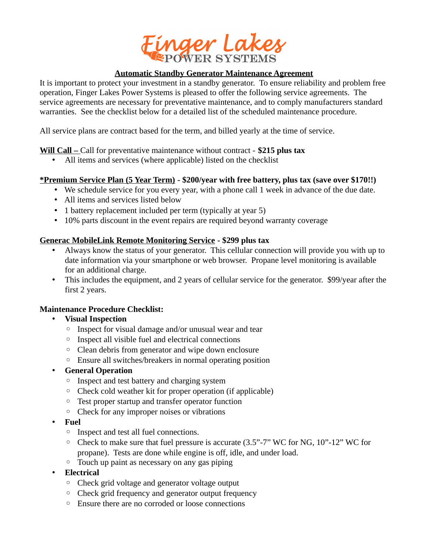

### **Automatic Standby Generator Maintenance Agreement**

It is important to protect your investment in a standby generator. To ensure reliability and problem free operation, Finger Lakes Power Systems is pleased to offer the following service agreements. The service agreements are necessary for preventative maintenance, and to comply manufacturers standard warranties. See the checklist below for a detailed list of the scheduled maintenance procedure.

All service plans are contract based for the term, and billed yearly at the time of service.

# **Will Call –** Call for preventative maintenance without contract - **\$215 plus tax**

• All items and services (where applicable) listed on the checklist

# **\*Premium Service Plan (5 Year Term) - \$200/year with free battery, plus tax (save over \$170!!)**

- We schedule service for you every year, with a phone call 1 week in advance of the due date.
- All items and services listed below
- 1 battery replacement included per term (typically at year 5)
- 10% parts discount in the event repairs are required beyond warranty coverage

### **Generac MobileLink Remote Monitoring Service - \$299 plus tax**

- Always know the status of your generator. This cellular connection will provide you with up to date information via your smartphone or web browser. Propane level monitoring is available for an additional charge.
- This includes the equipment, and 2 years of cellular service for the generator. \$99/year after the first 2 years.

# **Maintenance Procedure Checklist:**

# • **Visual Inspection**

- Inspect for visual damage and/or unusual wear and tear
- Inspect all visible fuel and electrical connections
- Clean debris from generator and wipe down enclosure
- Ensure all switches/breakers in normal operating position

#### • **General Operation**

- Inspect and test battery and charging system
- Check cold weather kit for proper operation (if applicable)
- Test proper startup and transfer operator function
- Check for any improper noises or vibrations
- **Fuel**
	- Inspect and test all fuel connections.
	- Check to make sure that fuel pressure is accurate (3.5"-7" WC for NG, 10"-12" WC for propane). Tests are done while engine is off, idle, and under load.
	- Touch up paint as necessary on any gas piping
- **Electrical**
	- Check grid voltage and generator voltage output
	- Check grid frequency and generator output frequency
	- Ensure there are no corroded or loose connections